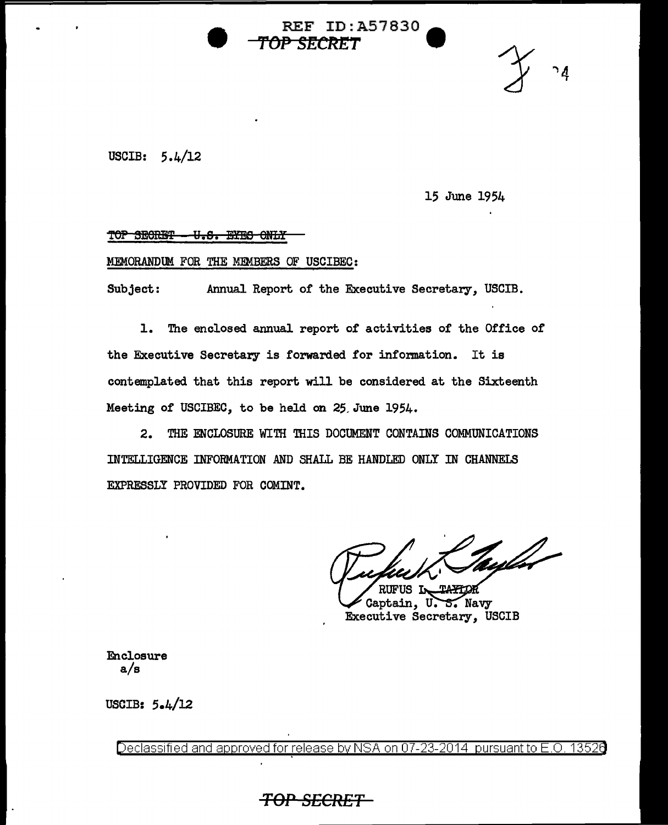**REF ID:A57830** *TOP SECRl!T* **W** 

USCIB: 5.4/12

15 June 1954

# TOP SECRET - U.S. EYES ONLY

### MEMORANDUM FOR THE MEMBERS OF USCIBEC:

Subject: Annual Report of the Executive Secretary, USCIB.

1. The enclosed annual report of activities of the Office of the Executive Secretary is forwarded for information. It is contemplated that this report will be considered at the Sixteenth Meeting of USCIBEC, to be held on 25.June 1954.

2. THE ENCLOSURE WITH THIS DOCUMENT CONTAINS COMMUNICATIONS INTELLIGENCE INFORMATION AND SHALL BE HANDLED ONLY IN CHANNELS EXPRESSLY PROVIDED FOR COMINT.

tulu m,

RIFIIS L Captain, U.S. Navy Executive Secretary, USCIB

Enclosure a/s

USCIB: 5.4/l2

Declassified and approved for release by NSA on 07-23-2014 pursuant to E.O. 13526

# **TOP SECRET**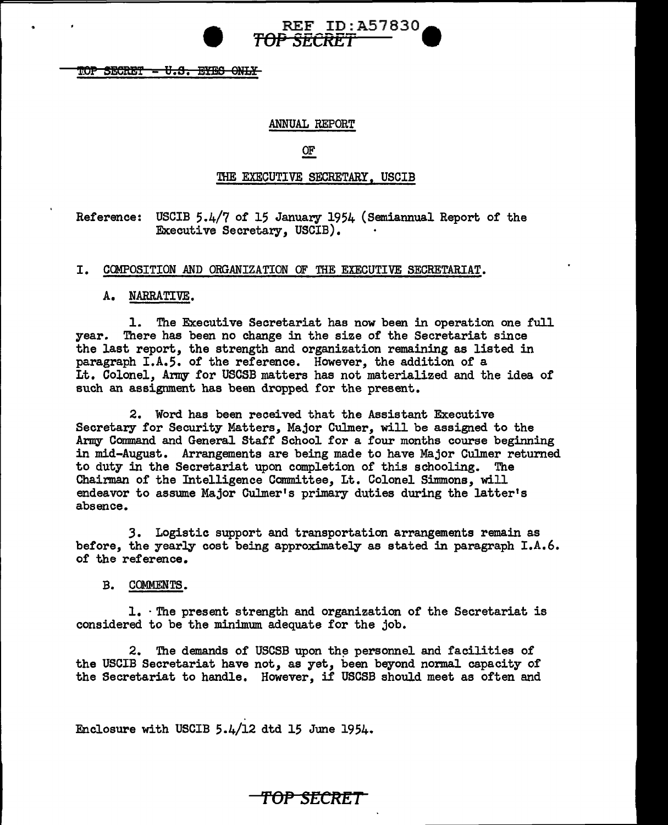**REF ID: A57830 •** *TOP SECRET* 

TOP SECRET <del>- U.S. EYES ONLY</del>

## ANNUAL REPORT

OF

### THE EXECUTIVE SECRETARY, USCIB

Reference: USCIB 5.4/7 of 15 January 1954 (Semiannual Report of the Executive Secretary, USCIB).

## I. COMPOSITION AND ORGANIZATION OF THE EXECUTIVE SECRETARIAT.

### A. NARRATIVE.

1. The Executive Secretariat has now been in operation one full year. There has been no change in the size of the Secretariat since the last report, the strength and organization remaining as listed in paragraph I.A.5. of the reference. However, the addition of a Lt. Colonel, Army for USCSB matters has not materialized and the idea or such an assignment has been dropped for the present.

2. Word has been received that the Assistant Executive Secretary for Security Matters, Major Culmer, will be assigned to the Army Command and General Staff School for a four months course beginning in mid-August. Arrangements are being made to have Major Culmer returned to duty in the Secretariat upon completion of this schooling. The to duty in the Secretariat upon completion of this schooling. Chairman of the Intelligence Committee, Lt. Colonel Simmons, will endeavor to assume Major Culmer's primary duties during the latter's absence.

*3.* Logistic support and transportation arrangements remain as before, the yearly cost being approximately as stated in paragraph  $I.A.6$ . or the reference.

B. COMMENTS.

1. · The present strength and organization or the Secretariat is considered to be the minimum adequate for the job.

2. The demands of USCSB upon the personnel and facilities of the USCIB Secretariat have not, as yet, been beyond normal capacity of the Secretariat to handle. However, if USCSB should meet as often and

Enclosure with USCIB 5.4/12 dtd 15 June 1954.

# 'f'OP SECRET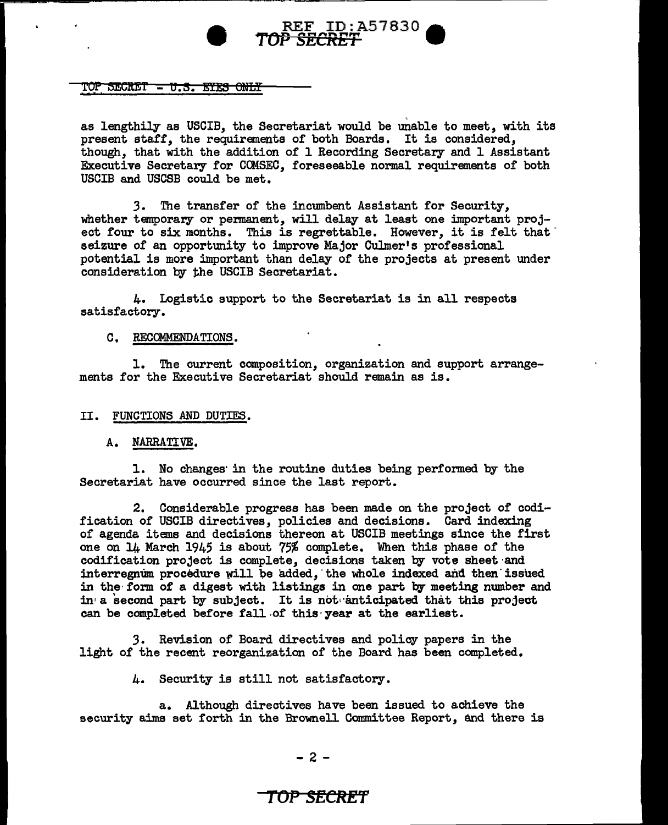

### TOP SECRET - U.S. EYES ONLY

as lengthily as USCIB, the Secretariat would be unable to meet, with its present staff, the requirements of both Boards. It is considered, though, that with the addition of 1 Recording Secretary and 1 Assistant Executive Secretary for COMSEC, foreseeable normal requirements of both USCIB and USCSB could be met.

*3.* The transfer of the incmnbent Assistant for Security, whether temporary or permanent, will delay at least one important project four to six months. This is regrettable. However, it is felt that seizure of an opportunity to improve Major Culmer's professional potential is more important than delay of the projects at present under consideration by the USCIB Secretariat.

4. Logistic support to the Secretariat is in all respects satisfactory.

#### C, RECOMMENDATIONS.

1. The current composition, organization and support arrangements for the Executive Secretariat should remain as is.

#### II. FUNCTIONS AND DUTIES.

#### A. NARRATIVE.

1. No changes· in the routine duties being performed by the Secretariat have occurred since the last report.

2. Considerable progress has been made on the project of codification of USCIB directives, policies and decisions. Card indexing of agenda items and decisions thereon at USCIB meetings since the first one on ll+ March 1945 is about 75% complete. When this phase of the codification project is complete, decisions taken by vote sheet·and interregnum procedure will be added, the whole indexed and then issued in the· form of a digest with listings in one part by meeting number and in<sup>'</sup> a second part by subject. It is not anticipated that this project can be completed before fall of this year at the earliest.

*3.* Revision of Board directives and policy papers in the light of the recent reorganization of the Board has been completed.

4. Security is still not satisfactory.

a. Although directives have been issued to achieve the security aims set forth in the Brownell Committee Report, and there is

## - 2 -

# **TOf' SECRET**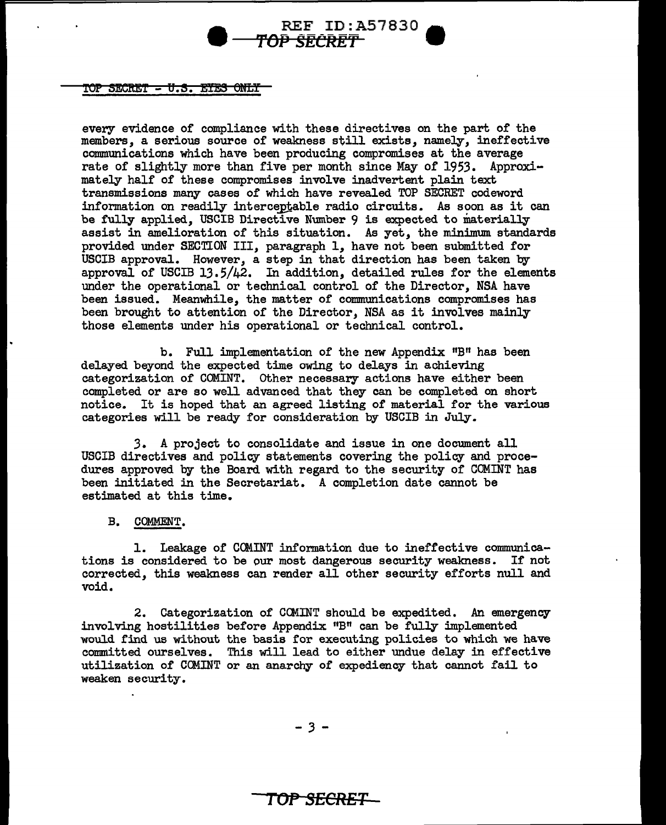# **REF ID:A57830** TOP SECRET

### ${\tt TOP\_SECRET-U. S. EYES~ONLT}$

every evidence of compliance with these directives on the part of the members, a serious source of weakness still exists, namely, ineffective communications which have been producing compromises at the average rate of slightly more than five per month since May of 1953. Approximately half of these compromises involve inadvertent plain text transmissions many cases of which have revealed TOP SECRET codeword information on readily interceptable radio circuits. As soon as it can be fully applied, USCIB Directive Number 9 is expected to materially assist in amelioration of this situation. As yet, the minimum standards provided under SECTION III, paragraph 1, have not been submitted for USCIB approval. However, a step in that direction has been taken by approval of USCIB 13.5/42. In addition, detailed rules for the elements under the operational or technical control of the Director, NSA have been issued. Meanwhile, the matter of communications compromises has been brought to attention of the Director, NSA as it involves mainly those elements under his operational or technical control.

b. Full :implementation of the new Appendix "B" has been delayed beyond the expected time owing to delays in achieving categorization of COMINT. Other necessary actions have either been completed or are so well advanced that they can be completed on short notice. It is hoped that an agreed listing of material for the various categories will be ready for consideration by USCIB in July.

3. A project to consolidate and issue in one document all USCIB directives and policy statements covering the policy and procedures approved by the Board with regard to the security of COMINT has been initiated in the Secretariat. A completion date cannot be estimated at this time.

B. COMMENT.

1. Leakage of COMINT information due to ineffective communications is considered to be our most dangerous security weakness. If not corrected, this weakness can render all other security efforts null and void.

2. Categorization of CG1INT should be expedited. An emergency involving hostilities before Appendix "B" can be fully implemented would find us without the basis for executing policies to which we have committed ourselves. This will lead to either undue delay in effective utilization of COMINT or an anarchy of expediency that cannot fail to weaken security.

- *3* -

# **Tor SECRET**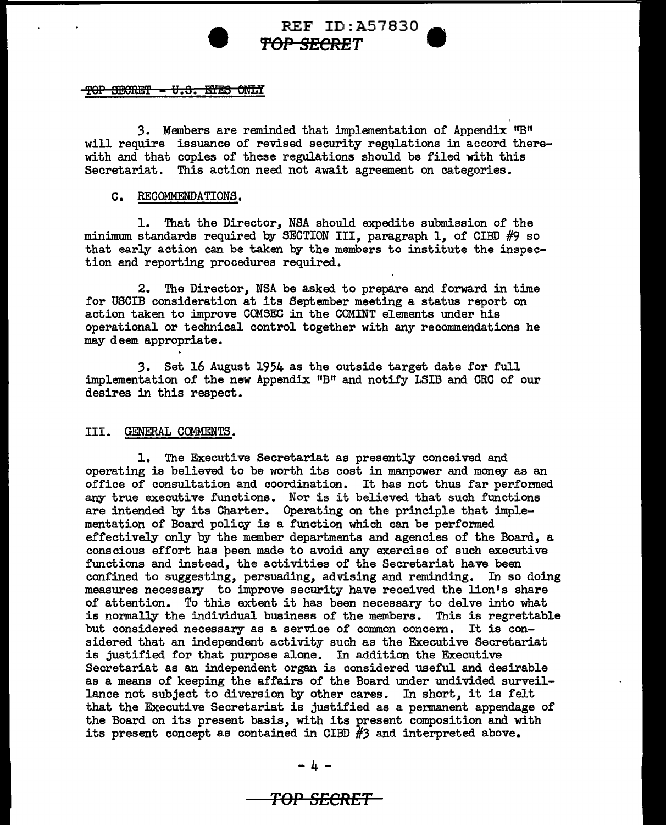# REF ID:A57830 **A 't'OP SECRET** •

### TOP SECRET - U.S. EYES ONLY

3. Members are reminded that implementation of Appendix "B" will require issuance of revised security regulations in accord therewith and that copies of these regulations should be filed with this Secretariat. This action need not await agreement on categories.

### C. RECOMMENDATIONS.

1. That the Director, NSA should expedite submission of the minimum standards required by SECTION III, paragraph 1, of CIBD #9 so that early action can be taken by the members to institute the inspection and reporting procedures required.

2. The Director, NSA be asked to prepare and forward in time for USCIB consideration at its September meeting a status report on action taken to improve COMSEC in the COMINT elements under his operational or technical control together with any recommendations he may deem appropriate.

*3.* Set 16 August 1954 as the outside target date for full implementation of the new Appendix  $"B"$  and notify LSIB and CRC of our desires in this respect.

### III. GENERAL COMMENTS.

1. The Executive Secretariat as presently conceived and operating is believed to be worth its cost in manpower and money as an office of consultation and coordination. It has not thus far performed any true executive functions. Nor is it believed that such functions are intended by its Charter. Operating on the principle that implementation of Board policy is a function which can be performed effectively only by the member departments and agencies of the Board, a conscious effort has peen made to avoid any exercise of such executive functions and instead, the activities of the Secretariat have been confined to suggesting, persuading, advising and reminding. In so doing measures necessary to improve security have received the lion's share of attention. To this extent it has been necessary to delve into what is normally the individual business of the members. This is regrettable but considered necessary as a service of common concern. It is considered that an independent activity such as the Executive Secretariat is justified for that purpose alone. In addition the Executive Secretariat as an independent organ is considered useful and desirable as a means of keeping the affairs of the Board under undivided surveillance not subject to diversion by other cares. In short, it is felt that the Executive Secretariat is justified as a permanent appendage of the Board on its present basis, with its present composition and with its present concept as contained in CIBD *#3* and interpreted above.

**TOP SECRET**